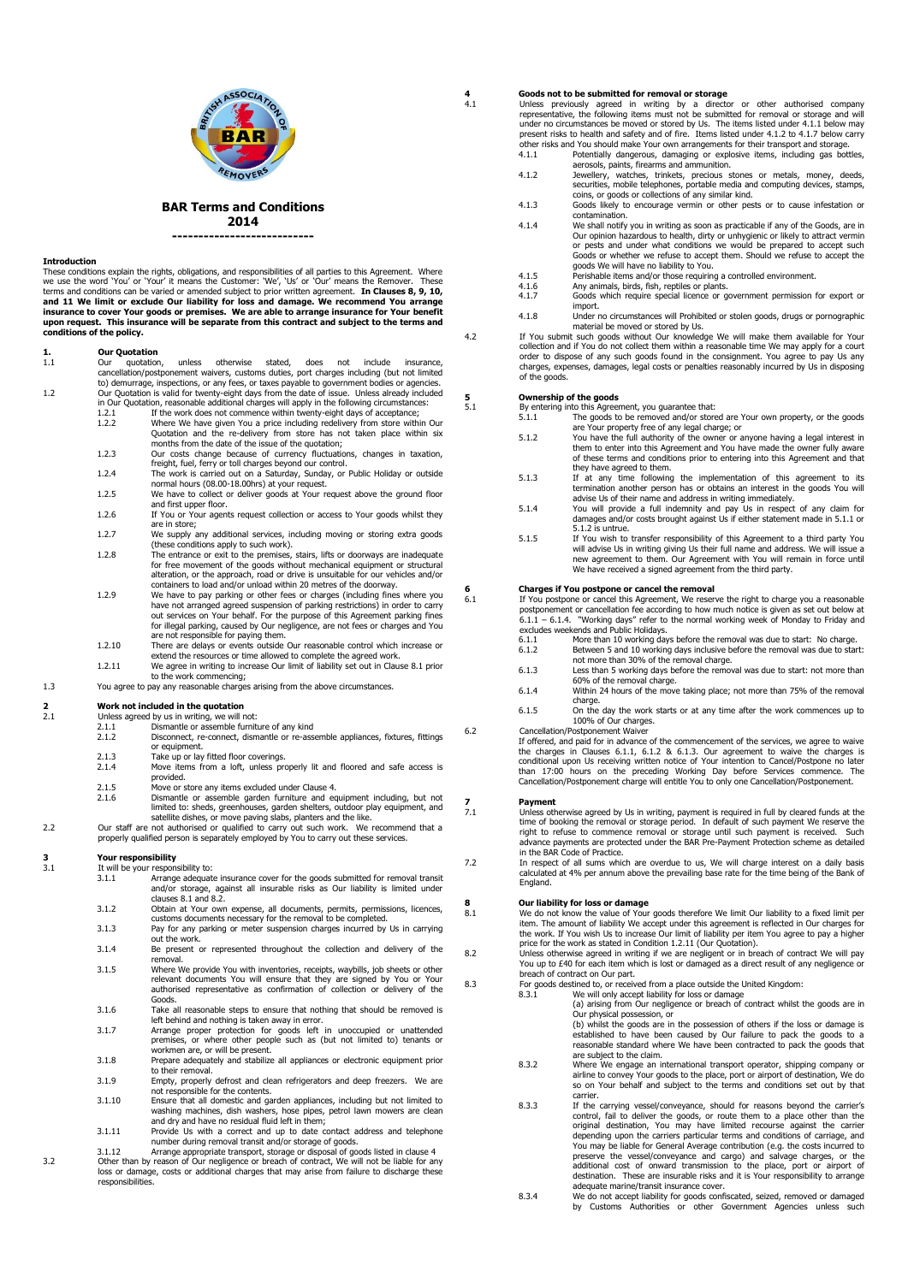

**BAR Terms and Conditions**

**2014**

**---------------------------**

**Introduction**<br>These conditions explain the rights, obligations, and responsibilities of all parties to this Agreement. Where These conditions explain the rights, obligations, and responsibilities of all parties to this Agreement. Where<br>we use the word 'You' or 'Your' it means the Customer: 'We', 'Us' or 'Our' means the Remover. These<br>terms and **and 11 We limit or exclude Our liability for loss and damage. We recommend You arrange insurance to cover Your goods or premises. We are able to arrange insurance for Your benefit upon request. This insurance will be separate from this contract and subject to the terms and conditions of the policy.** 

## **1. Our Quotation**

- 1.1 Our quotation, unless otherwise stated, does not include insurance, cancellation/postponement waivers, customs duties, port charges including (but not limited to) demurrage, inspections, or any fees, or taxes payable to government bodies or agencies. 1.2 Our Quotation is valid for twenty-eight days from the date of issue. Unless already included
	- in Our Quotation, reasonable additional charges will apply in the following circumstances:<br>1.2.1 If the work does not commence within twenty-eight days of acceptance; 1.2.1 In the work does not commence within twenty eight days of deceptance,<br>1.2.2 Where We have given You a price including redelivery from store within Our Quotation and the re-delivery from store has not taken place within six
	- months from the date of the issue of the quotation; 1.2.3 Our costs change because of currency fluctuations, changes in taxation,
	-
	- freight, fuel, ferry or toll charges beyond our control.<br>1.2.4 The work is carried out on a Saturday, Sunday, or Public Holiday or outside<br>normal hours (08.00-18.00hrs) at your request. 1.2.5 We have to collect or deliver goods at Your request above the ground floor
	- and first upper floor. 1.2.6 If You or Your agents request collection or access to Your goods whilst they
	-
	- are in store; 1.2.7 We supply any additional services, including moving or storing extra goods (these conditions apply to such work).
	- 1.2.8 The entrance or exit to the premises, stairs, lifts or doorways are inadequate for free movement of the goods without mechanical equipment or structural alteration, or the approach, road or drive is unsuitable for our vehicles and/or
	- containers to load and/or unload within 20 metres of the doorway. 1.2.9 We have to pay parking or other fees or charges (including fines where you have not arranged agreed suspension of parking restrictions) in order to carry<br>out services on Your behalf. For the purpose of this Agreement parking fines<br>for illegal parking, caused by Our negligence, are not fees or cha
	- are not responsible for paying them. 1.2.10 There are delays or events outside Our reasonable control which increase or extend the resources or time allowed to complete the agreed work. 1.2.11 We agree in writing to increase Our limit of liability set out in Clause 8.1 prior
- to the work commencing;<br>1.3 You agree to pay any reasonable charges arising from the above circumstances.

# **2 2 Work not included in the quotation**<br>**2.1** Unless agreed by us in writing, we will a

- 
- 2.1 Unless agreed by us in writing, we will not: 2.1.1 Dismantle or assemble furniture of any kind
	- 2.1.2 Disconnect, re-connect, dismantle or re-assemble appliances, fixtures, fittings
	- or equipment. 2.1.3 Take up or lay fitted floor coverings.
	- 2.1.4 Move items from a loft, unless properly lit and floored and safe access is provided.
	- 2.1.5 Move or store any items excluded under Clause 4.
- 2.1.6 Dismantle or assemble garden furniture and equipment including, but not<br>limited to: sheds, greenhouses, garden shelters, outdoor play equipment, and<br>2.2 Our staff are not authorised or qualified to carry out such wor
	- properly qualified person is separately employed by You to carry out these services.

# **3 Your responsibility**<br>3.1 It will be your respon

- It will be your responsibility to:<br>3.1.1 Arrange adequate 3.1.1 Arrange adequate insurance cover for the goods submitted for removal transit and/or storage, against all insurable risks as Our liability is limited under clauses 8.1 and 8.2.
- 3.1.2 Obtain at Your own expense, all documents, permits, permissions, licences,
- customs documents necessary for the removal to be completed. 3.1.3 Pay for any parking or meter suspension charges incurred by Us in carrying out the work.
- 3.1.4 Be present or represented throughout the collection and delivery of the removal.
- 3.1.5 Where We provide You with inventories, receipts, waybills, job sheets or other relevant documents You will ensure that they are signed by You or authorised representative as confirmation of collection or delivery of the Goods.
- 3.1.6 Take all reasonable steps to ensure that nothing that should be removed is
- left behind and nothing is taken away in error. 3.1.7 Arrange proper protection for goods left in unoccupied or unattended premises, or where other people such as (but not limited to) tenants or workmen are, or will be present.
- 3.1.8 Prepare adequately and stabilize all appliances or electronic equipment prior to their removal.
- 3.1.9 Empty, properly defrost and clean refrigerators and deep freezers. We are not responsible for the contents. 3.1.10 Ensure that all domestic and garden appliances, including but not limited to
- washing machines, dish washers, hose pipes, petrol lawn mowers are clean and dry and have no residual fluid left in them;
- 3.1.11 Provide Us with a correct and up to date contact address and telephone number during removal transit and/or storage of goods. 3.1.12 Arrange appropriate transport, storage or disposal of goods listed in clause 4
- 3.2 Other than by reason of Our negligence or breach of contract, We will not be liable for any loss or damage, costs or additional charges that may arise from failure to discharge these responsibilities.

# **4 Goods not to be submitted for removal or storage**

4.1 Unless previously agreed in writing by a director or other authorised company<br>representative, the following items must not be submitted for removal or storage and will<br>under no circumstances be moved or stored by Us. T present risks to health and safety and of fire. Items listed under 4.1.2 to 4.1.7 below carry

- other risks and You should make Your own arrangements for their transport and storage. 4.1.1 Potentially dangerous, damaging or explosive items, including gas bottles, aerosols, paints, firearms and ammunition.
- 4.1.2 Jewellery, watches, trinkets, precious stones or metals, money, deeds, securities, mobile telephones, portable media and computing devices, stamps, coins, or goods or collections of any similar kind.
- 4.1.3 Goods likely to encourage vermin or other pests or to cause infestation or contamination.
- 4.1.4 We shall notify you in writing as soon as practicable if any of the Goods, are in Our opinion hazardous to health, dirty or unhygienic or likely to attract vermin or pests and under what conditions we would be prepared to accept such Goods or whether we refuse to accept them. Should we refuse to accept the goods We will have no liability to You.
- 
- 4.1.5 Perishable items and/or those requiring a controlled environment.<br>4.1.6 Any animals, birds, fish, reptiles or plants.<br>4.1.7 Goods which require special licence or government permission 4.1.6 Any animals, birds, fish, reptiles or plants. 4.1.7 Goods which require special licence or government permission for export or
- import. 4.1.8 Under no circumstances will Prohibited or stolen goods, drugs or pornographic
- material be moved or stored by Us. 4.2 If You submit such goods without Our knowledge We will make them available for Your collection and if You do not collect them within a reasonable time We may apply for a court order to dispose of any such goods found in the consignment. You agree to pay Us any charges, expenses, damages, legal costs or penalties reasonably incurred by Us in disposing

of the goods.

**5 Ownership of the goods**<br>
5.1 By entering into this Agreement, you guarantee that:

- 5.1.1 The goods to be removed and/or stored are Your own property, or the goods are Your property free of any legal charge; or
- 5.1.2 You have the full authority of the owner or anyone having a legal interest in them to enter into this Agreement and You have made the owner fully aware of these terms and conditions prior to entering into this Agreement and that they have agreed to them.
- 5.1.3 If at any time following the implementation of this agreement to its termination another person has or obtains an interest in the goods You will
- advise Us of their name and address in writing immediately. 5.1.4 You will provide a full indemnity and pay Us in respect of any claim for damages and/or costs brought against Us if either statement made in 5.1.1 or 5.1.2 is untrue.<br>If You wish to
- 5.1.5 If You wish to transfer responsibility of this Agreement to a third party You will advise Us in writing giving Us their full name and address. We will issue a new agreement to them. Our Agreement with You will remain in force until We have received a signed agreement from the third party.

## **6 Charges if You postpone or cancel the removal** 6.1 **If You postpone or cancel this Agreement.** We reser

6.1 If You postpone or cancel this Agreement, We reserve the right to charge you a reasonable<br>postponement or cancellation fee according to how much notice is given as set out below at<br>6.1.1 – 6.1.4 . "Working days" refer excludes weekends and Public Holidays.<br>6.1.1 More than 10 working day

- 6.1.1 More than 10 working days before the removal was due to start: No charge. Between 5 and 10 working days inclusive before the removal was due to start: not more than 30% of the removal charge.
- 6.1.3 Less than 5 working days before the removal was due to start: not more than 60% of the removal charge. 6.1.4 Within 24 hours of the move taking place; not more than 75% of the removal
- charge. 6.1.5 On the day the work starts or at any time after the work commences up to
- 100% of Our charges. 6.2 Cancellation/Postponement Waiver

If offered, and paid for in advance of the commencement of the services, we agree to waive<br>the charges in Clauses 6.1.1, 6.1.2 & 6.1.3. Our agreement to waive the charges is<br>conditional upon Us receiving written notice of than 17:00 hours on the preceding Working Day before Services commence. The Cancellation/Postponement charge will entitle You to only one Cancellation/Postponement.

 $\frac{7}{7.1}$ 

7.1 Unless otherwise agreed by Us in writing, payment is required in full by cleared funds at the time of booking the removal or storage period. In default of such payment We reserve the right to refuse to commence removal or storage until such payment is received. Such advance payments are protected under the BAR Pre-Payment Protection scheme as detailed

in the BAR Code of Practice. 7.2 In respect of all sums which are overdue to us, We will charge interest on a daily basis calculated at 4% per annum above the prevailing base rate for the time being of the Bank of England.

# **8 Our liability for loss or damage 8.1 We do not know the value of Your**

8.1 We do not know the value of Your goods therefore We limit Our liability to a fixed limit per<br>item. The amount of liability We accept under this agreement is reflected in Our charges for<br>the work. If You wish Us to incr

price for the work as stated in Condition 1.2.11 (Our Quotation).<br>18.2 Unless otherwise agreed in writing if we are negligent or in breach of contract We will pay<br>You up to £40 for each item which is lost

# breach of contract on Our part. 8.3 For goods destined to, or received from a place outside the United Kingdom:

8.3.1 We will only accept liability for loss or damage (a) arising from Our negligence or breach of contract whilst the goods are in Our physical possession, or (b) whilst the goods are in the possession of others if the loss or damage is established to have been caused by Our failure to pack the goods to a reasonable standard where We have been contracted to pack the goods that

- are subject to the claim. 8.3.2 Where We engage an international transport operator, shipping company or
- airline to convey Your goods to the place, port or airport of destination, We do so on Your behalf and subject to the terms and conditions set out by that carrier. 8.3.3 If the carrying vessel/conveyance, should for reasons beyond the carrier's
- control, fail to deliver the goods, or route them to a place other than the original destination, You may have limited recourse against the carrier depending upon the carriers particular terms and conditions of carriage, and You may be liable for General Average contribution (e.g. the costs incurred to preserve the vessel/conveyance and cargo) and salvage charges, or the additional cost of onward transmission to the place, port or airport of destination. These are insurable risks and it is Your responsibility to arrange adequate marine/transit insurance cover.
- 8.3.4 We do not accept liability for goods confiscated, seized, removed or damaged by Customs Authorities or other Government Agencies unless such